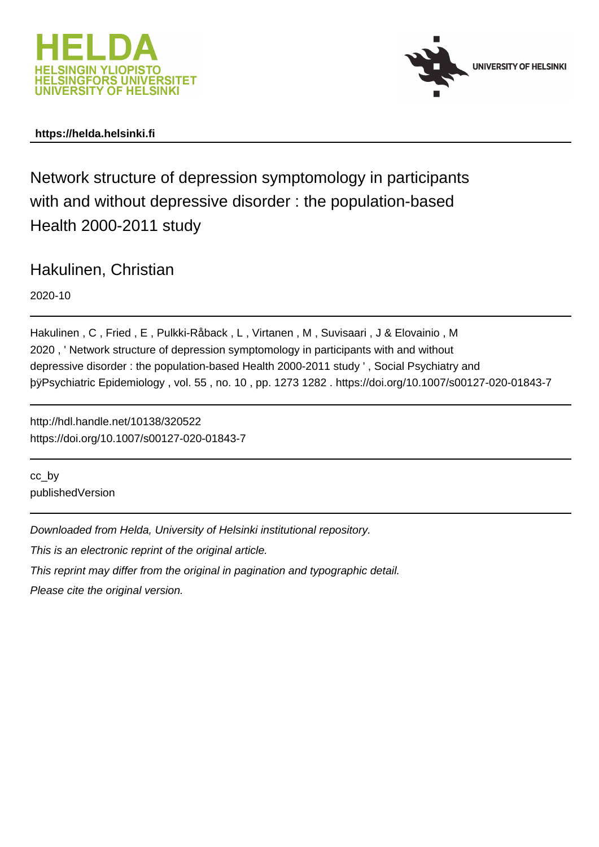



# **https://helda.helsinki.fi**

Network structure of depression symptomology in participants with and without depressive disorder : the population-based Health 2000-2011 study

Hakulinen, Christian

2020-10

Hakulinen , C , Fried , E , Pulkki-Råback , L , Virtanen , M , Suvisaari , J & Elovainio , M 2020 , ' Network structure of depression symptomology in participants with and without depressive disorder : the population-based Health 2000-2011 study ' , Social Psychiatry and byPsychiatric Epidemiology , vol. 55 , no. 10 , pp. 1273 1282 . https://do

http://hdl.handle.net/10138/320522 https://doi.org/10.1007/s00127-020-01843-7

cc\_by publishedVersion

Downloaded from Helda, University of Helsinki institutional repository.

This is an electronic reprint of the original article.

This reprint may differ from the original in pagination and typographic detail.

Please cite the original version.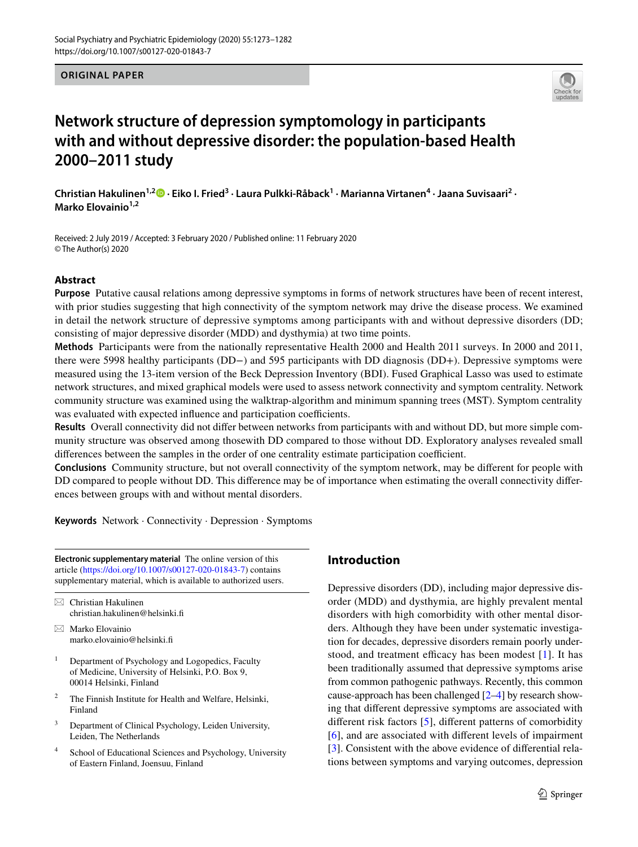## **ORIGINAL PAPER**



# **Network structure of depression symptomology in participants with and without depressive disorder: the population‑based Health 2000–2011 study**

ChristianHakulinen<sup>1,2</sup><sup>®</sup> · Eiko I. Fried<sup>3</sup> · Laura Pulkki-Råback<sup>1</sup> · Marianna Virtanen<sup>4</sup> · Jaana Suvisaari<sup>2</sup> · **Marko Elovainio1,2**

Received: 2 July 2019 / Accepted: 3 February 2020 / Published online: 11 February 2020 © The Author(s) 2020

## **Abstract**

**Purpose** Putative causal relations among depressive symptoms in forms of network structures have been of recent interest, with prior studies suggesting that high connectivity of the symptom network may drive the disease process. We examined in detail the network structure of depressive symptoms among participants with and without depressive disorders (DD; consisting of major depressive disorder (MDD) and dysthymia) at two time points.

**Methods** Participants were from the nationally representative Health 2000 and Health 2011 surveys. In 2000 and 2011, there were 5998 healthy participants (DD−) and 595 participants with DD diagnosis (DD+). Depressive symptoms were measured using the 13-item version of the Beck Depression Inventory (BDI). Fused Graphical Lasso was used to estimate network structures, and mixed graphical models were used to assess network connectivity and symptom centrality. Network community structure was examined using the walktrap-algorithm and minimum spanning trees (MST). Symptom centrality was evaluated with expected influence and participation coefficients.

**Results** Overall connectivity did not difer between networks from participants with and without DD, but more simple community structure was observed among thosewith DD compared to those without DD. Exploratory analyses revealed small differences between the samples in the order of one centrality estimate participation coefficient.

**Conclusions** Community structure, but not overall connectivity of the symptom network, may be diferent for people with DD compared to people without DD. This diference may be of importance when estimating the overall connectivity diferences between groups with and without mental disorders.

**Keywords** Network · Connectivity · Depression · Symptoms

**Electronic supplementary material** The online version of this article [\(https://doi.org/10.1007/s00127-020-01843-7\)](https://doi.org/10.1007/s00127-020-01843-7) contains supplementary material, which is available to authorized users.

 $\boxtimes$  Christian Hakulinen christian.hakulinen@helsinki.f

- $\boxtimes$  Marko Elovainio marko.elovainio@helsinki.f
- <sup>1</sup> Department of Psychology and Logopedics, Faculty of Medicine, University of Helsinki, P.O. Box 9, 00014 Helsinki, Finland
- <sup>2</sup> The Finnish Institute for Health and Welfare, Helsinki, Finland
- <sup>3</sup> Department of Clinical Psychology, Leiden University, Leiden, The Netherlands
- <sup>4</sup> School of Educational Sciences and Psychology, University of Eastern Finland, Joensuu, Finland

# **Introduction**

Depressive disorders (DD), including major depressive disorder (MDD) and dysthymia, are highly prevalent mental disorders with high comorbidity with other mental disorders. Although they have been under systematic investigation for decades, depressive disorders remain poorly understood, and treatment efficacy has been modest  $[1]$ . It has been traditionally assumed that depressive symptoms arise from common pathogenic pathways. Recently, this common cause-approach has been challenged [2–4] by research showing that diferent depressive symptoms are associated with diferent risk factors [5], diferent patterns of comorbidity [6], and are associated with diferent levels of impairment [3]. Consistent with the above evidence of differential relations between symptoms and varying outcomes, depression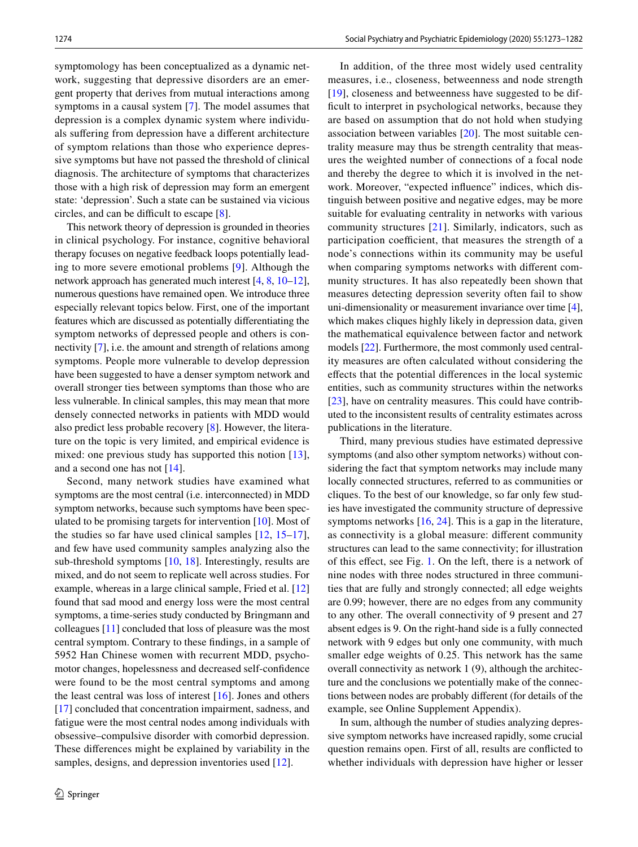symptomology has been conceptualized as a dynamic network, suggesting that depressive disorders are an emergent property that derives from mutual interactions among symptoms in a causal system [7]. The model assumes that depression is a complex dynamic system where individuals sufering from depression have a diferent architecture of symptom relations than those who experience depressive symptoms but have not passed the threshold of clinical diagnosis. The architecture of symptoms that characterizes those with a high risk of depression may form an emergent state: 'depression'. Such a state can be sustained via vicious circles, and can be difficult to escape  $[8]$ .

This network theory of depression is grounded in theories in clinical psychology. For instance, cognitive behavioral therapy focuses on negative feedback loops potentially leading to more severe emotional problems [9]. Although the network approach has generated much interest [4, 8, 10–12], numerous questions have remained open. We introduce three especially relevant topics below. First, one of the important features which are discussed as potentially diferentiating the symptom networks of depressed people and others is connectivity [7], i.e. the amount and strength of relations among symptoms. People more vulnerable to develop depression have been suggested to have a denser symptom network and overall stronger ties between symptoms than those who are less vulnerable. In clinical samples, this may mean that more densely connected networks in patients with MDD would also predict less probable recovery [8]. However, the literature on the topic is very limited, and empirical evidence is mixed: one previous study has supported this notion [13], and a second one has not [14].

Second, many network studies have examined what symptoms are the most central (i.e. interconnected) in MDD symptom networks, because such symptoms have been speculated to be promising targets for intervention [10]. Most of the studies so far have used clinical samples [12, 15–17], and few have used community samples analyzing also the sub-threshold symptoms [10, 18]. Interestingly, results are mixed, and do not seem to replicate well across studies. For example, whereas in a large clinical sample, Fried et al. [12] found that sad mood and energy loss were the most central symptoms, a time-series study conducted by Bringmann and colleagues [11] concluded that loss of pleasure was the most central symptom. Contrary to these fndings, in a sample of 5952 Han Chinese women with recurrent MDD, psychomotor changes, hopelessness and decreased self-confdence were found to be the most central symptoms and among the least central was loss of interest [16]. Jones and others [17] concluded that concentration impairment, sadness, and fatigue were the most central nodes among individuals with obsessive–compulsive disorder with comorbid depression. These diferences might be explained by variability in the samples, designs, and depression inventories used [12].

In addition, of the three most widely used centrality measures, i.e., closeness, betweenness and node strength [19], closeness and betweenness have suggested to be difficult to interpret in psychological networks, because they are based on assumption that do not hold when studying association between variables [20]. The most suitable centrality measure may thus be strength centrality that measures the weighted number of connections of a focal node and thereby the degree to which it is involved in the network. Moreover, "expected infuence" indices, which distinguish between positive and negative edges, may be more suitable for evaluating centrality in networks with various community structures [21]. Similarly, indicators, such as participation coefficient, that measures the strength of a node's connections within its community may be useful when comparing symptoms networks with diferent community structures. It has also repeatedly been shown that measures detecting depression severity often fail to show uni-dimensionality or measurement invariance over time [4], which makes cliques highly likely in depression data, given the mathematical equivalence between factor and network models [22]. Furthermore, the most commonly used centrality measures are often calculated without considering the efects that the potential diferences in the local systemic entities, such as community structures within the networks [23], have on centrality measures. This could have contributed to the inconsistent results of centrality estimates across publications in the literature.

Third, many previous studies have estimated depressive symptoms (and also other symptom networks) without considering the fact that symptom networks may include many locally connected structures, referred to as communities or cliques. To the best of our knowledge, so far only few studies have investigated the community structure of depressive symptoms networks [16, 24]. This is a gap in the literature, as connectivity is a global measure: diferent community structures can lead to the same connectivity; for illustration of this efect, see Fig. 1. On the left, there is a network of nine nodes with three nodes structured in three communities that are fully and strongly connected; all edge weights are 0.99; however, there are no edges from any community to any other. The overall connectivity of 9 present and 27 absent edges is 9. On the right-hand side is a fully connected network with 9 edges but only one community, with much smaller edge weights of 0.25. This network has the same overall connectivity as network 1 (9), although the architecture and the conclusions we potentially make of the connections between nodes are probably diferent (for details of the example, see Online Supplement Appendix).

In sum, although the number of studies analyzing depressive symptom networks have increased rapidly, some crucial question remains open. First of all, results are conficted to whether individuals with depression have higher or lesser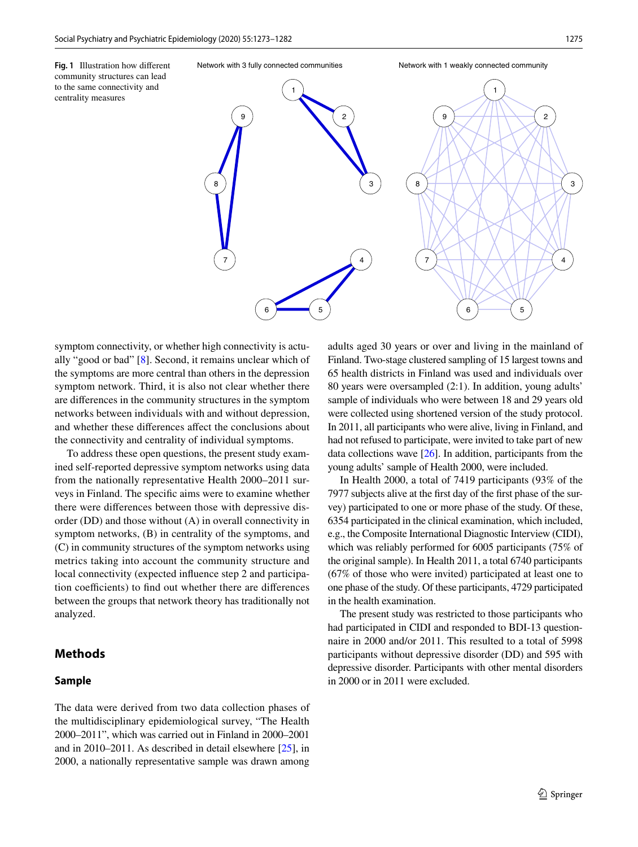**Fig. 1** Illustration how diferent community structures can lead to the same connectivity and centrality measures



symptom connectivity, or whether high connectivity is actually "good or bad" [8]. Second, it remains unclear which of the symptoms are more central than others in the depression symptom network. Third, it is also not clear whether there are diferences in the community structures in the symptom networks between individuals with and without depression, and whether these diferences afect the conclusions about the connectivity and centrality of individual symptoms.

To address these open questions, the present study examined self-reported depressive symptom networks using data from the nationally representative Health 2000–2011 surveys in Finland. The specifc aims were to examine whether there were diferences between those with depressive disorder (DD) and those without (A) in overall connectivity in symptom networks, (B) in centrality of the symptoms, and (C) in community structures of the symptom networks using metrics taking into account the community structure and local connectivity (expected infuence step 2 and participation coefficients) to find out whether there are differences between the groups that network theory has traditionally not analyzed.

# **Methods**

# **Sample**

The data were derived from two data collection phases of the multidisciplinary epidemiological survey, "The Health 2000–2011", which was carried out in Finland in 2000–2001 and in 2010–2011. As described in detail elsewhere [25], in 2000, a nationally representative sample was drawn among

adults aged 30 years or over and living in the mainland of Finland. Two-stage clustered sampling of 15 largest towns and 65 health districts in Finland was used and individuals over 80 years were oversampled (2:1). In addition, young adults' sample of individuals who were between 18 and 29 years old were collected using shortened version of the study protocol. In 2011, all participants who were alive, living in Finland, and had not refused to participate, were invited to take part of new data collections wave  $[26]$ . In addition, participants from the young adults' sample of Health 2000, were included.

In Health 2000, a total of 7419 participants (93% of the 7977 subjects alive at the frst day of the frst phase of the survey) participated to one or more phase of the study. Of these, 6354 participated in the clinical examination, which included, e.g., the Composite International Diagnostic Interview (CIDI), which was reliably performed for 6005 participants (75% of the original sample). In Health 2011, a total 6740 participants (67% of those who were invited) participated at least one to one phase of the study. Of these participants, 4729 participated in the health examination.

The present study was restricted to those participants who had participated in CIDI and responded to BDI-13 questionnaire in 2000 and/or 2011. This resulted to a total of 5998 participants without depressive disorder (DD) and 595 with depressive disorder. Participants with other mental disorders in 2000 or in 2011 were excluded.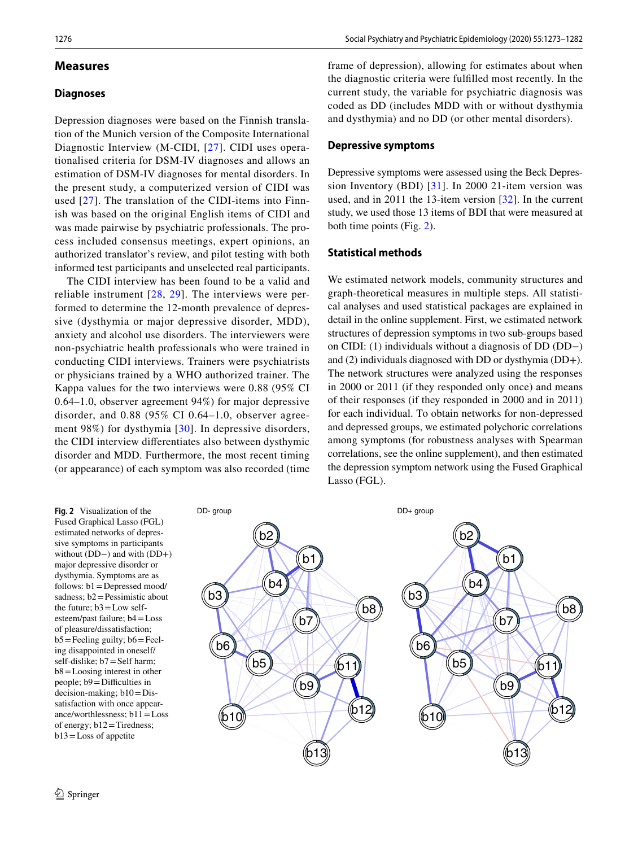## **Measures**

## **Diagnoses**

Depression diagnoses were based on the Finnish translation of the Munich version of the Composite International Diagnostic Interview (M-CIDI, [27]. CIDI uses operationalised criteria for DSM-IV diagnoses and allows an estimation of DSM-IV diagnoses for mental disorders. In the present study, a computerized version of CIDI was used [27]. The translation of the CIDI-items into Finnish was based on the original English items of CIDI and was made pairwise by psychiatric professionals. The process included consensus meetings, expert opinions, an authorized translator's review, and pilot testing with both informed test participants and unselected real participants.

The CIDI interview has been found to be a valid and reliable instrument [28, 29]. The interviews were performed to determine the 12-month prevalence of depressive (dysthymia or major depressive disorder, MDD), anxiety and alcohol use disorders. The interviewers were non-psychiatric health professionals who were trained in conducting CIDI interviews. Trainers were psychiatrists or physicians trained by a WHO authorized trainer. The Kappa values for the two interviews were 0.88 (95% CI 0.64–1.0, observer agreement 94%) for major depressive disorder, and 0.88 (95% CI 0.64–1.0, observer agreement 98%) for dysthymia [30]. In depressive disorders, the CIDI interview diferentiates also between dysthymic disorder and MDD. Furthermore, the most recent timing (or appearance) of each symptom was also recorded (time frame of depression), allowing for estimates about when the diagnostic criteria were fulflled most recently. In the current study, the variable for psychiatric diagnosis was coded as DD (includes MDD with or without dysthymia and dysthymia) and no DD (or other mental disorders).

#### **Depressive symptoms**

Depressive symptoms were assessed using the Beck Depression Inventory (BDI) [31]. In 2000 21-item version was used, and in 2011 the 13-item version [32]. In the current study, we used those 13 items of BDI that were measured at both time points (Fig. 2).

## **Statistical methods**

We estimated network models, community structures and graph-theoretical measures in multiple steps. All statistical analyses and used statistical packages are explained in detail in the online supplement. First, we estimated network structures of depression symptoms in two sub-groups based on CIDI: (1) individuals without a diagnosis of DD (DD−) and (2) individuals diagnosed with DD or dysthymia (DD+). The network structures were analyzed using the responses in 2000 or 2011 (if they responded only once) and means of their responses (if they responded in 2000 and in 2011) for each individual. To obtain networks for non-depressed and depressed groups, we estimated polychoric correlations among symptoms (for robustness analyses with Spearman correlations, see the online supplement), and then estimated the depression symptom network using the Fused Graphical Lasso (FGL).

**Fig. 2** Visualization of the Fused Graphical Lasso (FGL) estimated networks of depressive symptoms in participants without (DD−) and with (DD+) major depressive disorder or dysthymia. Symptoms are as follows: b1=Depressed mood/ sadness;  $b2$  = Pessimistic about the future;  $b3 = Low$  selfesteem/past failure; b4=Loss of pleasure/dissatisfaction;  $b5 =$ Feeling guilty;  $b6 =$ Feeling disappointed in oneself/ self-dislike; b7=Self harm; b8=Loosing interest in other people;  $b9 =$ Difficulties in decision-making;  $b10=D$ issatisfaction with once appearance/worthlessness;  $b11 = Loss$ of energy; b12=Tiredness; b13=Loss of appetite

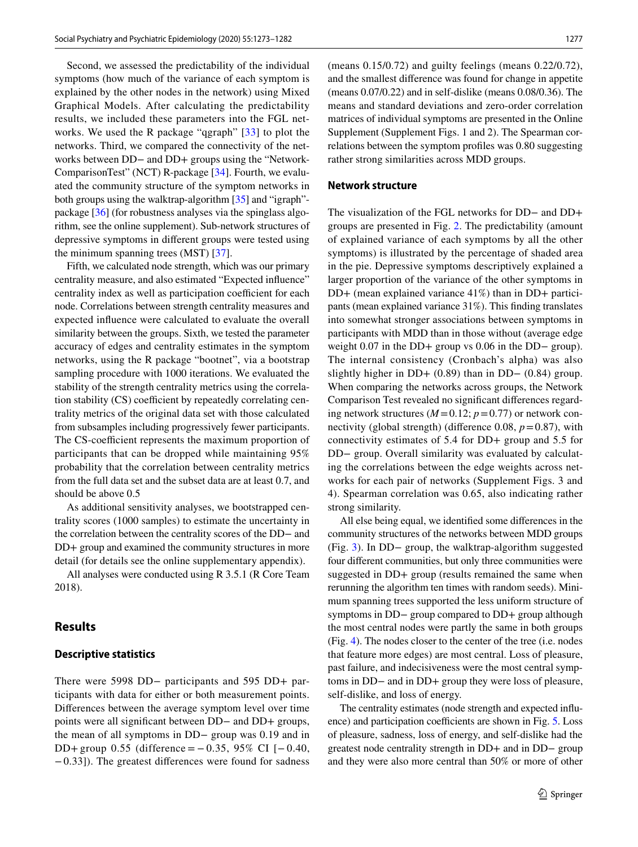Second, we assessed the predictability of the individual symptoms (how much of the variance of each symptom is explained by the other nodes in the network) using Mixed Graphical Models. After calculating the predictability results, we included these parameters into the FGL networks. We used the R package "qgraph" [33] to plot the networks. Third, we compared the connectivity of the networks between DD− and DD+ groups using the "Network-ComparisonTest" (NCT) R-package [34]. Fourth, we evaluated the community structure of the symptom networks in both groups using the walktrap-algorithm [35] and "igraph" package [36] (for robustness analyses via the spinglass algorithm, see the online supplement). Sub-network structures of depressive symptoms in diferent groups were tested using the minimum spanning trees (MST) [37].

Fifth, we calculated node strength, which was our primary centrality measure, and also estimated "Expected infuence" centrality index as well as participation coefficient for each node. Correlations between strength centrality measures and expected infuence were calculated to evaluate the overall similarity between the groups. Sixth, we tested the parameter accuracy of edges and centrality estimates in the symptom networks, using the R package "bootnet", via a bootstrap sampling procedure with 1000 iterations. We evaluated the stability of the strength centrality metrics using the correlation stability  $(CS)$  coefficient by repeatedly correlating centrality metrics of the original data set with those calculated from subsamples including progressively fewer participants. The CS-coefficient represents the maximum proportion of participants that can be dropped while maintaining 95% probability that the correlation between centrality metrics from the full data set and the subset data are at least 0.7, and should be above 0.5

As additional sensitivity analyses, we bootstrapped centrality scores (1000 samples) to estimate the uncertainty in the correlation between the centrality scores of the DD− and DD+ group and examined the community structures in more detail (for details see the online supplementary appendix).

All analyses were conducted using R 3.5.1 (R Core Team 2018).

## **Results**

#### **Descriptive statistics**

There were 5998 DD− participants and 595 DD+ participants with data for either or both measurement points. Diferences between the average symptom level over time points were all signifcant between DD− and DD+ groups, the mean of all symptoms in DD− group was 0.19 and in DD+ group 0.55 (difference =  $-0.35$ , 95% CI [ $-0.40$ , −0.33]). The greatest diferences were found for sadness (means 0.15/0.72) and guilty feelings (means 0.22/0.72), and the smallest diference was found for change in appetite (means 0.07/0.22) and in self-dislike (means 0.08/0.36). The means and standard deviations and zero-order correlation matrices of individual symptoms are presented in the Online Supplement (Supplement Figs. 1 and 2). The Spearman correlations between the symptom profles was 0.80 suggesting rather strong similarities across MDD groups.

#### **Network structure**

The visualization of the FGL networks for DD− and DD+ groups are presented in Fig. 2. The predictability (amount of explained variance of each symptoms by all the other symptoms) is illustrated by the percentage of shaded area in the pie. Depressive symptoms descriptively explained a larger proportion of the variance of the other symptoms in DD+ (mean explained variance 41%) than in DD+ participants (mean explained variance 31%). This fnding translates into somewhat stronger associations between symptoms in participants with MDD than in those without (average edge weight 0.07 in the DD+ group vs 0.06 in the DD− group). The internal consistency (Cronbach's alpha) was also slightly higher in DD+ (0.89) than in DD− (0.84) group. When comparing the networks across groups, the Network Comparison Test revealed no signifcant diferences regarding network structures  $(M=0.12; p=0.77)$  or network connectivity (global strength) (difference 0.08,  $p = 0.87$ ), with connectivity estimates of 5.4 for DD+ group and 5.5 for DD− group. Overall similarity was evaluated by calculating the correlations between the edge weights across networks for each pair of networks (Supplement Figs. 3 and 4). Spearman correlation was 0.65, also indicating rather strong similarity.

All else being equal, we identifed some diferences in the community structures of the networks between MDD groups (Fig. 3). In DD− group, the walktrap-algorithm suggested four diferent communities, but only three communities were suggested in DD+ group (results remained the same when rerunning the algorithm ten times with random seeds). Minimum spanning trees supported the less uniform structure of symptoms in DD− group compared to DD+ group although the most central nodes were partly the same in both groups (Fig. 4). The nodes closer to the center of the tree (i.e. nodes that feature more edges) are most central. Loss of pleasure, past failure, and indecisiveness were the most central symptoms in DD− and in DD+ group they were loss of pleasure, self-dislike, and loss of energy.

The centrality estimates (node strength and expected infuence) and participation coefficients are shown in Fig. 5. Loss of pleasure, sadness, loss of energy, and self-dislike had the greatest node centrality strength in DD+ and in DD− group and they were also more central than 50% or more of other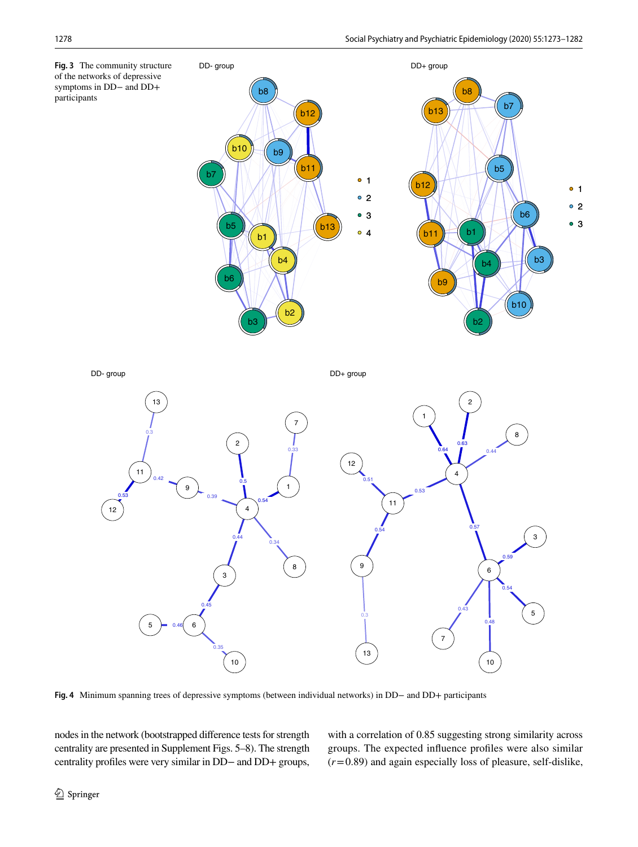![](_page_6_Figure_2.jpeg)

**Fig. 4** Minimum spanning trees of depressive symptoms (between individual networks) in DD− and DD+ participants

nodes in the network (bootstrapped diference tests for strength centrality are presented in Supplement Figs. 5–8). The strength centrality profles were very similar in DD− and DD+ groups, with a correlation of 0.85 suggesting strong similarity across groups. The expected infuence profles were also similar (*r*=0.89) and again especially loss of pleasure, self-dislike,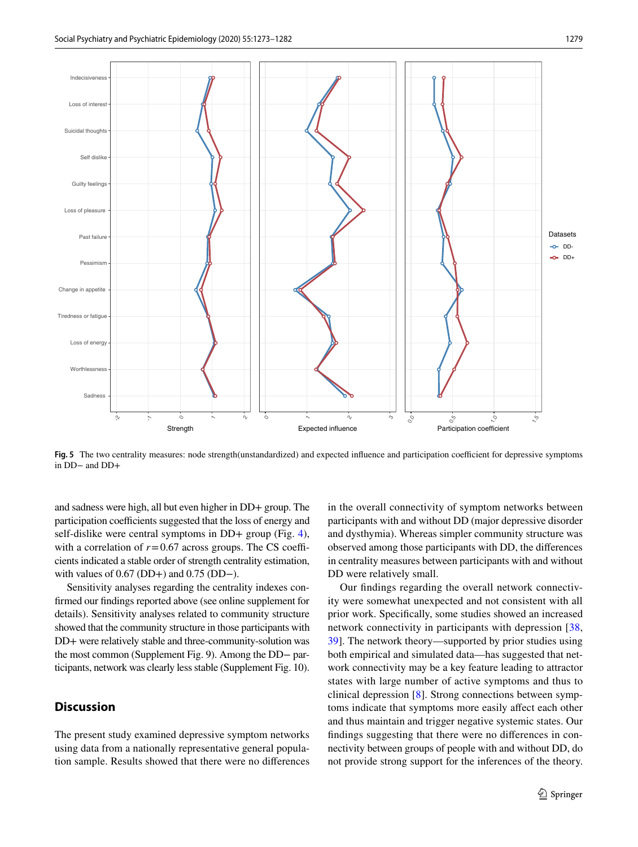![](_page_7_Figure_2.jpeg)

Fig. 5 The two centrality measures: node strength(unstandardized) and expected influence and participation coefficient for depressive symptoms in DD− and DD+

and sadness were high, all but even higher in DD+ group. The participation coefficients suggested that the loss of energy and self-dislike were central symptoms in DD+ group (Fig. 4), with a correlation of  $r = 0.67$  across groups. The CS coefficients indicated a stable order of strength centrality estimation, with values of 0.67 (DD+) and 0.75 (DD−).

Sensitivity analyses regarding the centrality indexes confrmed our fndings reported above (see online supplement for details). Sensitivity analyses related to community structure showed that the community structure in those participants with DD+ were relatively stable and three-community-solution was the most common (Supplement Fig. 9). Among the DD− participants, network was clearly less stable (Supplement Fig. 10).

# **Discussion**

The present study examined depressive symptom networks using data from a nationally representative general population sample. Results showed that there were no diferences in the overall connectivity of symptom networks between participants with and without DD (major depressive disorder and dysthymia). Whereas simpler community structure was observed among those participants with DD, the diferences in centrality measures between participants with and without DD were relatively small.

Our fndings regarding the overall network connectivity were somewhat unexpected and not consistent with all prior work. Specifcally, some studies showed an increased network connectivity in participants with depression [38, 39]. The network theory—supported by prior studies using both empirical and simulated data—has suggested that network connectivity may be a key feature leading to attractor states with large number of active symptoms and thus to clinical depression [8]. Strong connections between symptoms indicate that symptoms more easily afect each other and thus maintain and trigger negative systemic states. Our fndings suggesting that there were no diferences in connectivity between groups of people with and without DD, do not provide strong support for the inferences of the theory.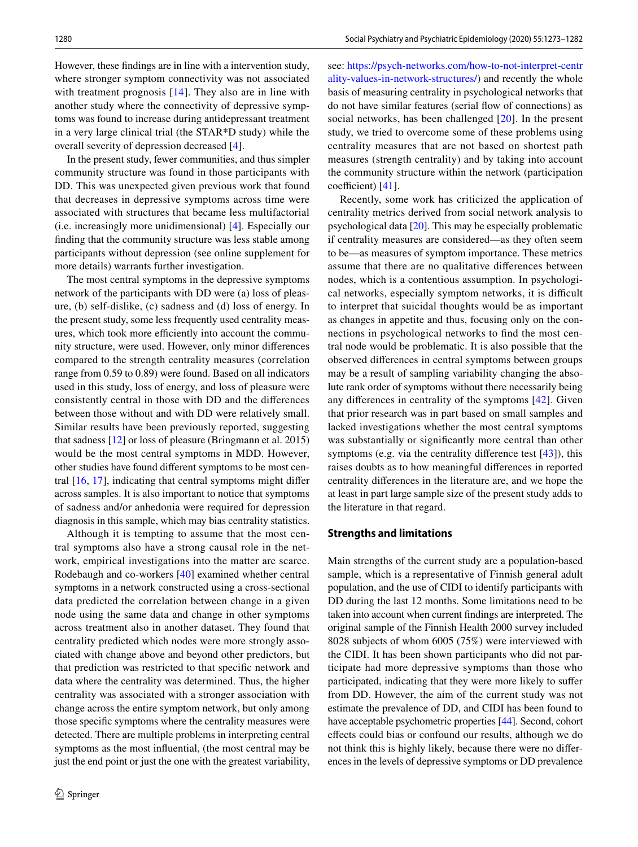However, these fndings are in line with a intervention study, where stronger symptom connectivity was not associated with treatment prognosis [14]. They also are in line with another study where the connectivity of depressive symptoms was found to increase during antidepressant treatment in a very large clinical trial (the STAR\*D study) while the overall severity of depression decreased [4].

In the present study, fewer communities, and thus simpler community structure was found in those participants with DD. This was unexpected given previous work that found that decreases in depressive symptoms across time were associated with structures that became less multifactorial (i.e. increasingly more unidimensional) [4]. Especially our fnding that the community structure was less stable among participants without depression (see online supplement for more details) warrants further investigation.

The most central symptoms in the depressive symptoms network of the participants with DD were (a) loss of pleasure, (b) self-dislike, (c) sadness and (d) loss of energy. In the present study, some less frequently used centrality measures, which took more efficiently into account the community structure, were used. However, only minor diferences compared to the strength centrality measures (correlation range from 0.59 to 0.89) were found. Based on all indicators used in this study, loss of energy, and loss of pleasure were consistently central in those with DD and the diferences between those without and with DD were relatively small. Similar results have been previously reported, suggesting that sadness [12] or loss of pleasure (Bringmann et al. 2015) would be the most central symptoms in MDD. However, other studies have found diferent symptoms to be most central [16, 17], indicating that central symptoms might difer across samples. It is also important to notice that symptoms of sadness and/or anhedonia were required for depression diagnosis in this sample, which may bias centrality statistics.

Although it is tempting to assume that the most central symptoms also have a strong causal role in the network, empirical investigations into the matter are scarce. Rodebaugh and co-workers [40] examined whether central symptoms in a network constructed using a cross-sectional data predicted the correlation between change in a given node using the same data and change in other symptoms across treatment also in another dataset. They found that centrality predicted which nodes were more strongly associated with change above and beyond other predictors, but that prediction was restricted to that specifc network and data where the centrality was determined. Thus, the higher centrality was associated with a stronger association with change across the entire symptom network, but only among those specifc symptoms where the centrality measures were detected. There are multiple problems in interpreting central symptoms as the most infuential, (the most central may be just the end point or just the one with the greatest variability,

see: [https://psych-networks.com/how-to-not-interpret-centr](https://psych-networks.com/how-to-not-interpret-centrality-values-in-network-structures/) [ality-values-in-network-structures/\)](https://psych-networks.com/how-to-not-interpret-centrality-values-in-network-structures/) and recently the whole basis of measuring centrality in psychological networks that do not have similar features (serial fow of connections) as social networks, has been challenged [20]. In the present study, we tried to overcome some of these problems using centrality measures that are not based on shortest path measures (strength centrality) and by taking into account the community structure within the network (participation coefficient) [41].

Recently, some work has criticized the application of centrality metrics derived from social network analysis to psychological data [20]. This may be especially problematic if centrality measures are considered—as they often seem to be—as measures of symptom importance. These metrics assume that there are no qualitative diferences between nodes, which is a contentious assumption. In psychological networks, especially symptom networks, it is difficult to interpret that suicidal thoughts would be as important as changes in appetite and thus, focusing only on the connections in psychological networks to fnd the most central node would be problematic. It is also possible that the observed diferences in central symptoms between groups may be a result of sampling variability changing the absolute rank order of symptoms without there necessarily being any diferences in centrality of the symptoms [42]. Given that prior research was in part based on small samples and lacked investigations whether the most central symptoms was substantially or signifcantly more central than other symptoms (e.g. via the centrality difference test  $[43]$ ), this raises doubts as to how meaningful diferences in reported centrality diferences in the literature are, and we hope the at least in part large sample size of the present study adds to the literature in that regard.

#### **Strengths and limitations**

Main strengths of the current study are a population-based sample, which is a representative of Finnish general adult population, and the use of CIDI to identify participants with DD during the last 12 months. Some limitations need to be taken into account when current fndings are interpreted. The original sample of the Finnish Health 2000 survey included 8028 subjects of whom 6005 (75%) were interviewed with the CIDI. It has been shown participants who did not participate had more depressive symptoms than those who participated, indicating that they were more likely to sufer from DD. However, the aim of the current study was not estimate the prevalence of DD, and CIDI has been found to have acceptable psychometric properties [44]. Second, cohort efects could bias or confound our results, although we do not think this is highly likely, because there were no diferences in the levels of depressive symptoms or DD prevalence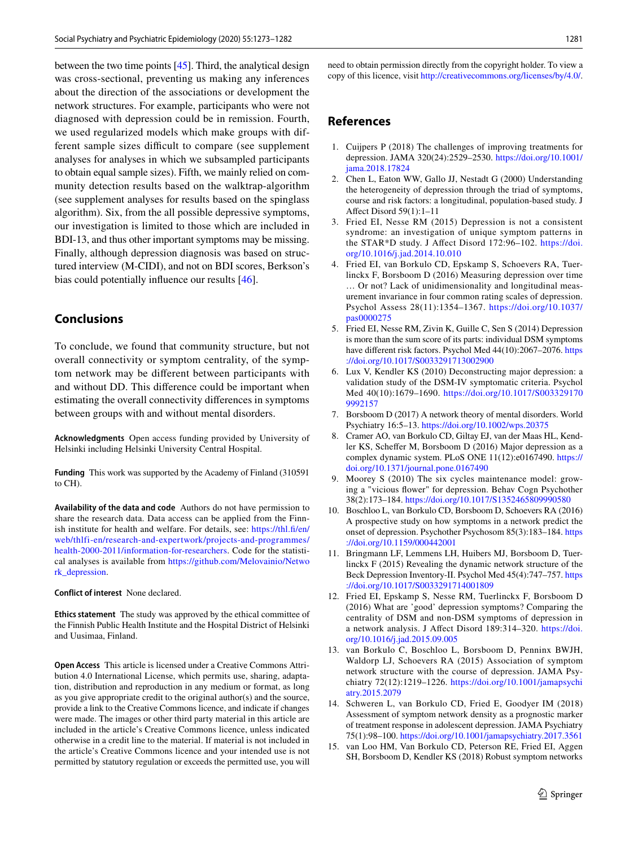between the two time points  $[45]$ . Third, the analytical design was cross-sectional, preventing us making any inferences about the direction of the associations or development the network structures. For example, participants who were not diagnosed with depression could be in remission. Fourth, we used regularized models which make groups with different sample sizes difficult to compare (see supplement analyses for analyses in which we subsampled participants to obtain equal sample sizes). Fifth, we mainly relied on community detection results based on the walktrap-algorithm (see supplement analyses for results based on the spinglass algorithm). Six, from the all possible depressive symptoms, our investigation is limited to those which are included in BDI-13, and thus other important symptoms may be missing. Finally, although depression diagnosis was based on structured interview (M-CIDI), and not on BDI scores, Berkson's bias could potentially infuence our results [46].

# **Conclusions**

To conclude, we found that community structure, but not overall connectivity or symptom centrality, of the symptom network may be diferent between participants with and without DD. This diference could be important when estimating the overall connectivity diferences in symptoms between groups with and without mental disorders.

**Acknowledgments** Open access funding provided by University of Helsinki including Helsinki University Central Hospital.

**Funding** This work was supported by the Academy of Finland (310591 to CH).

**Availability of the data and code** Authors do not have permission to share the research data. Data access can be applied from the Finnish institute for health and welfare. For details, see: [https://thl.f/en/](https://thl.fi/en/web/thlfi-en/research-and-expertwork/projects-and-programmes/health-2000-2011/information-for-researchers) [web/thlfi-en/research-and-expertwork/projects-and-programmes/](https://thl.fi/en/web/thlfi-en/research-and-expertwork/projects-and-programmes/health-2000-2011/information-for-researchers) [health-2000-2011/information-for-researchers](https://thl.fi/en/web/thlfi-en/research-and-expertwork/projects-and-programmes/health-2000-2011/information-for-researchers). Code for the statistical analyses is available from [https://github.com/Melovainio/Netwo](https://github.com/Melovainio/Network_depression) [rk\\_depression](https://github.com/Melovainio/Network_depression).

**Conflict of interest** None declared.

**Ethics statement** The study was approved by the ethical committee of the Finnish Public Health Institute and the Hospital District of Helsinki and Uusimaa, Finland.

**Open Access** This article is licensed under a Creative Commons Attribution 4.0 International License, which permits use, sharing, adaptation, distribution and reproduction in any medium or format, as long as you give appropriate credit to the original author(s) and the source, provide a link to the Creative Commons licence, and indicate if changes were made. The images or other third party material in this article are included in the article's Creative Commons licence, unless indicated otherwise in a credit line to the material. If material is not included in the article's Creative Commons licence and your intended use is not permitted by statutory regulation or exceeds the permitted use, you will need to obtain permission directly from the copyright holder. To view a copy of this licence, visit<http://creativecommons.org/licenses/by/4.0/>.

# **References**

- 1. Cuijpers P (2018) The challenges of improving treatments for depression. JAMA 320(24):2529–2530. [https://doi.org/10.1001/](https://doi.org/10.1001/jama.2018.17824) [jama.2018.17824](https://doi.org/10.1001/jama.2018.17824)
- 2. Chen L, Eaton WW, Gallo JJ, Nestadt G (2000) Understanding the heterogeneity of depression through the triad of symptoms, course and risk factors: a longitudinal, population-based study. J Afect Disord 59(1):1–11
- 3. Fried EI, Nesse RM (2015) Depression is not a consistent syndrome: an investigation of unique symptom patterns in the STAR\*D study. J Afect Disord 172:96–102. [https://doi.](https://doi.org/10.1016/j.jad.2014.10.010) [org/10.1016/j.jad.2014.10.010](https://doi.org/10.1016/j.jad.2014.10.010)
- 4. Fried EI, van Borkulo CD, Epskamp S, Schoevers RA, Tuerlinckx F, Borsboom D (2016) Measuring depression over time … Or not? Lack of unidimensionality and longitudinal measurement invariance in four common rating scales of depression. Psychol Assess 28(11):1354–1367. [https://doi.org/10.1037/](https://doi.org/10.1037/pas0000275) [pas0000275](https://doi.org/10.1037/pas0000275)
- 5. Fried EI, Nesse RM, Zivin K, Guille C, Sen S (2014) Depression is more than the sum score of its parts: individual DSM symptoms have different risk factors. Psychol Med 44(10):2067-2076. [https](https://doi.org/10.1017/S0033291713002900) [://doi.org/10.1017/S0033291713002900](https://doi.org/10.1017/S0033291713002900)
- 6. Lux V, Kendler KS (2010) Deconstructing major depression: a validation study of the DSM-IV symptomatic criteria. Psychol Med 40(10):1679–1690. [https://doi.org/10.1017/S003329170](https://doi.org/10.1017/S0033291709992157) [9992157](https://doi.org/10.1017/S0033291709992157)
- 7. Borsboom D (2017) A network theory of mental disorders. World Psychiatry 16:5–13. <https://doi.org/10.1002/wps.20375>
- 8. Cramer AO, van Borkulo CD, Giltay EJ, van der Maas HL, Kendler KS, Scheffer M, Borsboom D (2016) Major depression as a complex dynamic system. PLoS ONE 11(12):e0167490. [https://](https://doi.org/10.1371/journal.pone.0167490) [doi.org/10.1371/journal.pone.0167490](https://doi.org/10.1371/journal.pone.0167490)
- 9. Moorey S (2010) The six cycles maintenance model: growing a "vicious fower" for depression. Behav Cogn Psychother 38(2):173–184.<https://doi.org/10.1017/S1352465809990580>
- 10. Boschloo L, van Borkulo CD, Borsboom D, Schoevers RA (2016) A prospective study on how symptoms in a network predict the onset of depression. Psychother Psychosom 85(3):183–184. [https](https://doi.org/10.1159/000442001) [://doi.org/10.1159/000442001](https://doi.org/10.1159/000442001)
- 11. Bringmann LF, Lemmens LH, Huibers MJ, Borsboom D, Tuerlinckx F (2015) Revealing the dynamic network structure of the Beck Depression Inventory-II. Psychol Med 45(4):747–757. [https](https://doi.org/10.1017/S0033291714001809) [://doi.org/10.1017/S0033291714001809](https://doi.org/10.1017/S0033291714001809)
- 12. Fried EI, Epskamp S, Nesse RM, Tuerlinckx F, Borsboom D (2016) What are 'good' depression symptoms? Comparing the centrality of DSM and non-DSM symptoms of depression in a network analysis. J Afect Disord 189:314–320. [https://doi.](https://doi.org/10.1016/j.jad.2015.09.005) [org/10.1016/j.jad.2015.09.005](https://doi.org/10.1016/j.jad.2015.09.005)
- 13. van Borkulo C, Boschloo L, Borsboom D, Penninx BWJH, Waldorp LJ, Schoevers RA (2015) Association of symptom network structure with the course of depression. JAMA Psychiatry 72(12):1219–1226. [https://doi.org/10.1001/jamapsychi](https://doi.org/10.1001/jamapsychiatry.2015.2079) [atry.2015.2079](https://doi.org/10.1001/jamapsychiatry.2015.2079)
- 14. Schweren L, van Borkulo CD, Fried E, Goodyer IM (2018) Assessment of symptom network density as a prognostic marker of treatment response in adolescent depression. JAMA Psychiatry 75(1):98–100. <https://doi.org/10.1001/jamapsychiatry.2017.3561>
- 15. van Loo HM, Van Borkulo CD, Peterson RE, Fried EI, Aggen SH, Borsboom D, Kendler KS (2018) Robust symptom networks